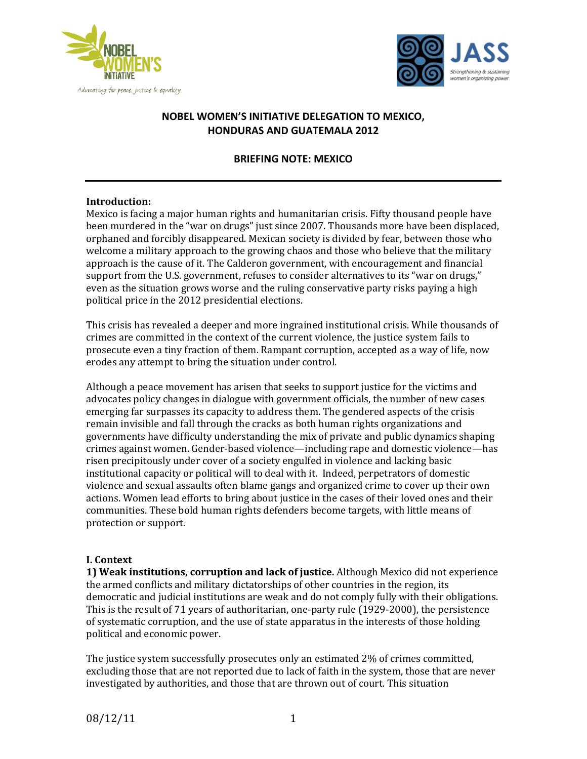



# **NOBEL WOMEN'S INITIATIVE DELEGATION TO MEXICO, HONDURAS AND GUATEMALA 2012**

#### **BRIEFING NOTE: MEXICO**

#### **Introduction:!**

Mexico is facing a major human rights and humanitarian crisis. Fifty thousand people have been murdered in the "war on drugs" just since 2007. Thousands more have been displaced, orphaned and forcibly disappeared. Mexican society is divided by fear, between those who welcome a military approach to the growing chaos and those who believe that the military approach is the cause of it. The Calderon government, with encouragement and financial support from the U.S. government, refuses to consider alternatives to its "war on drugs," even as the situation grows worse and the ruling conservative party risks paying a high political price in the 2012 presidential elections.

This crisis has revealed a deeper and more ingrained institutional crisis. While thousands of crimes are committed in the context of the current violence, the justice system fails to prosecute even a tiny fraction of them. Rampant corruption, accepted as a way of life, now erodes any attempt to bring the situation under control.

Although a peace movement has arisen that seeks to support justice for the victims and advocates policy changes in dialogue with government officials, the number of new cases emerging far surpasses its capacity to address them. The gendered aspects of the crisis remain invisible and fall through the cracks as both human rights organizations and governments have difficulty understanding the mix of private and public dynamics shaping crimes against women. Gender-based violence—including rape and domestic violence—has risen precipitously under cover of a society engulfed in violence and lacking basic institutional capacity or political will to deal with it. Indeed, perpetrators of domestic violence and sexual assaults often blame gangs and organized crime to cover up their own actions. Women lead efforts to bring about justice in the cases of their loved ones and their communities. These bold human rights defenders become targets, with little means of protection or support.

#### **I.** Context

**1) Weak institutions, corruption and lack of justice.** Although Mexico did not experience the armed conflicts and military dictatorships of other countries in the region, its democratic and judicial institutions are weak and do not comply fully with their obligations. This is the result of 71 years of authoritarian, one-party rule  $(1929-2000)$ , the persistence of systematic corruption, and the use of state apparatus in the interests of those holding political and economic power.

The justice system successfully prosecutes only an estimated 2% of crimes committed, excluding those that are not reported due to lack of faith in the system, those that are never investigated by authorities, and those that are thrown out of court. This situation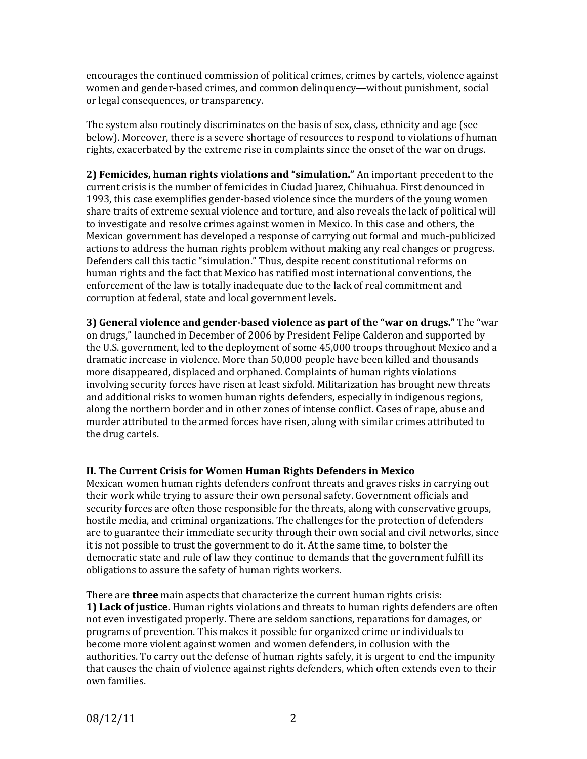encourages the continued commission of political crimes, crimes by cartels, violence against women and gender-based crimes, and common delinquency—without punishment, social or legal consequences, or transparency.

The system also routinely discriminates on the basis of sex, class, ethnicity and age (see below). Moreover, there is a severe shortage of resources to respond to violations of human rights, exacerbated by the extreme rise in complaints since the onset of the war on drugs.

**2) Femicides, human rights violations and "simulation."** An important precedent to the current crisis is the number of femicides in Ciudad Juarez, Chihuahua. First denounced in 1993, this case exemplifies gender-based violence since the murders of the young women share traits of extreme sexual violence and torture, and also reveals the lack of political will to investigate and resolve crimes against women in Mexico. In this case and others, the Mexican government has developed a response of carrying out formal and much-publicized actions to address the human rights problem without making any real changes or progress. Defenders call this tactic "simulation." Thus, despite recent constitutional reforms on human rights and the fact that Mexico has ratified most international conventions, the enforcement of the law is totally inadequate due to the lack of real commitment and corruption at federal, state and local government levels.

**3)** General violence and gender-based violence as part of the "war on drugs." The "war on drugs," launched in December of 2006 by President Felipe Calderon and supported by the U.S. government, led to the deployment of some 45,000 troops throughout Mexico and a dramatic increase in violence. More than 50,000 people have been killed and thousands more disappeared, displaced and orphaned. Complaints of human rights violations involving security forces have risen at least sixfold. Militarization has brought new threats and additional risks to women human rights defenders, especially in indigenous regions, along the northern border and in other zones of intense conflict. Cases of rape, abuse and murder attributed to the armed forces have risen, along with similar crimes attributed to the drug cartels.

### **II. The Current Crisis for Women Human Rights Defenders in Mexico**

Mexican women human rights defenders confront threats and graves risks in carrying out their work while trying to assure their own personal safety. Government officials and security forces are often those responsible for the threats, along with conservative groups, hostile media, and criminal organizations. The challenges for the protection of defenders are to guarantee their immediate security through their own social and civil networks, since it is not possible to trust the government to do it. At the same time, to bolster the democratic state and rule of law they continue to demands that the government fulfill its obligations to assure the safety of human rights workers.

There are **three** main aspects that characterize the current human rights crisis: **1) Lack of justice.** Human rights violations and threats to human rights defenders are often not even investigated properly. There are seldom sanctions, reparations for damages, or programs of prevention. This makes it possible for organized crime or individuals to become more violent against women and women defenders, in collusion with the authorities. To carry out the defense of human rights safely, it is urgent to end the impunity that causes the chain of violence against rights defenders, which often extends even to their own families.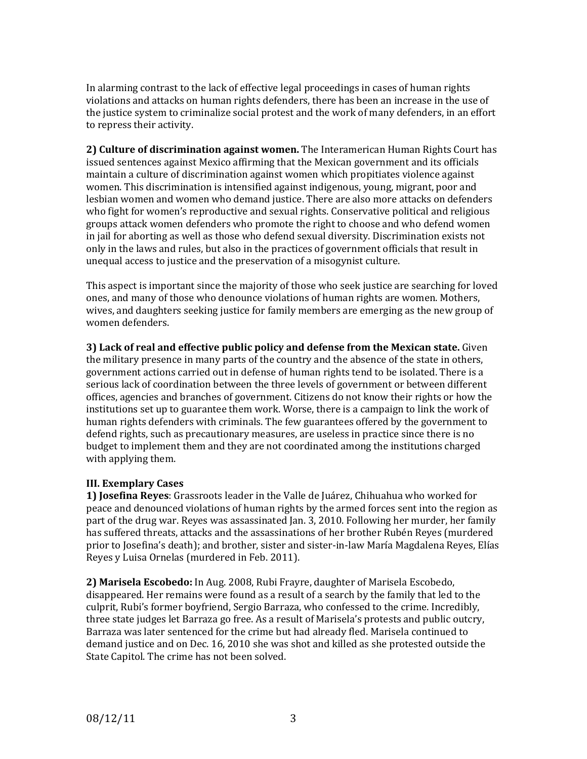In alarming contrast to the lack of effective legal proceedings in cases of human rights violations and attacks on human rights defenders, there has been an increase in the use of the justice system to criminalize social protest and the work of many defenders, in an effort to repress their activity.

**2) Culture of discrimination against women.** The Interamerican Human Rights Court has issued sentences against Mexico affirming that the Mexican government and its officials maintain a culture of discrimination against women which propitiates violence against women. This discrimination is intensified against indigenous, young, migrant, poor and lesbian women and women who demand justice. There are also more attacks on defenders who fight for women's reproductive and sexual rights. Conservative political and religious groups attack women defenders who promote the right to choose and who defend women in jail for aborting as well as those who defend sexual diversity. Discrimination exists not only in the laws and rules, but also in the practices of government officials that result in unequal access to justice and the preservation of a misogynist culture.

This aspect is important since the majority of those who seek justice are searching for loved ones, and many of those who denounce violations of human rights are women. Mothers, wives, and daughters seeking justice for family members are emerging as the new group of women defenders.

**3) Lack of real and effective public policy and defense from the Mexican state.** Given the military presence in many parts of the country and the absence of the state in others, government actions carried out in defense of human rights tend to be isolated. There is a serious lack of coordination between the three levels of government or between different offices, agencies and branches of government. Citizens do not know their rights or how the institutions set up to guarantee them work. Worse, there is a campaign to link the work of human rights defenders with criminals. The few guarantees offered by the government to defend rights, such as precautionary measures, are useless in practice since there is no budget to implement them and they are not coordinated among the institutions charged with applying them.

### **III. Exemplary Cases**

**1) Josefina Reyes**: Grassroots leader in the Valle de Juárez, Chihuahua who worked for peace and denounced violations of human rights by the armed forces sent into the region as part of the drug war. Reyes was assassinated Jan. 3, 2010. Following her murder, her family has suffered threats, attacks and the assassinations of her brother Rubén Reyes (murdered prior to Josefina's death); and brother, sister and sister-in-law María Magdalena Reyes, Elías Reyes y Luisa Ornelas (murdered in Feb. 2011).

**2) Marisela Escobedo:** In Aug. 2008, Rubi Frayre, daughter of Marisela Escobedo, disappeared. Her remains were found as a result of a search by the family that led to the culprit, Rubi's former boyfriend, Sergio Barraza, who confessed to the crime. Incredibly, three state judges let Barraza go free. As a result of Marisela's protests and public outcry, Barraza was later sentenced for the crime but had already fled. Marisela continued to demand justice and on Dec. 16, 2010 she was shot and killed as she protested outside the State Capitol. The crime has not been solved.